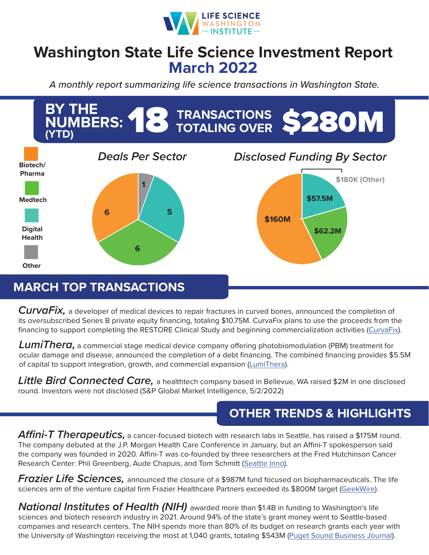

## **Washington State Life Science Investment Report March 2022**

*A monthly report summarizing life science transactions in Washington State.*



## **MARCH TOP TRANSACTIONS**

*CurvaFix,* a developer of medical devices to repair fractures in curved bones, announced the completion of its oversubscribed Series B private equity financing, totaling \$10.75M. CurvaFix plans to use the proceeds from the financing to support completing the RESTORE Clinical Study and beginning commercialization activities [\(CurvaFix\)](https://curvafix.com/wp-content/uploads/2021/12/CurvaFix-Closes-1075M-Series-B-FINAL.pdf).

*LumiThera,* a commercial stage medical device company offering photobiomodulation (PBM) treatment for ocular damage and disease, announced the completion of a debt financing. The combined financing provides \$5.5M of capital to support integration, growth, and commercial expansion [\(LumiThera\)](https://www.lumithera.com/lumithera-secures-financing-to-support-commercial-activities/).

*Little Bird Connected Care,* a healthtech company based in Bellevue, WA raised \$2M in one disclosed round. Investors were not disclosed (S&P Global Market Intelligence, 5/2/2022)

## **OTHER TRENDS & HIGHLIGHTS**

*Affini-T Therapeutics,* a cancer-focused biotech with research labs in Seattle, has raised a \$175M round. The company debuted at the J.P. Morgan Health Care Conference in January, but an Affini-T spokesperson said the company was founded in 2020. Affini-T was co-founded by three researchers at the Fred Hutchinson Cancer Research Center: Phil Greenberg, Aude Chapuis, and Tom Schmitt [\(Seattle Inno\)](https://www.bizjournals.com/seattle/inno/stories/fundings/2022/03/22/biotech-with-fred-hutch-roots-affini-t-raises-175m.html).

*Frazier Life Sciences,* announced the closure of a \$987M fund focused on biopharmaceuticals. The life sciences arm of the venture capital firm Frazier Healthcare Partners exceeded its \$800M target ([GeekWire](https://www.geekwire.com/2022/frazier-life-sciences-raises-close-to-1b-for-new-venture-fund-focused-on-earlier-stage-companies/)).

*National Institutes of Health (NIH)* awarded more than \$1.4B in funding to Washington's life sciences and biotech research industry in 2021. Around 94% of the state's grant money went to Seattle-based companies and research centers. The NIH spends more than 80% of its budget on research grants each year with the University of Washington receiving the most at 1,040 grants, totaling \$543M [\(Puget Sound Business Journal\)](https://www.bizjournals.com/seattle/news/2022/03/21/nih-annual-report.html).